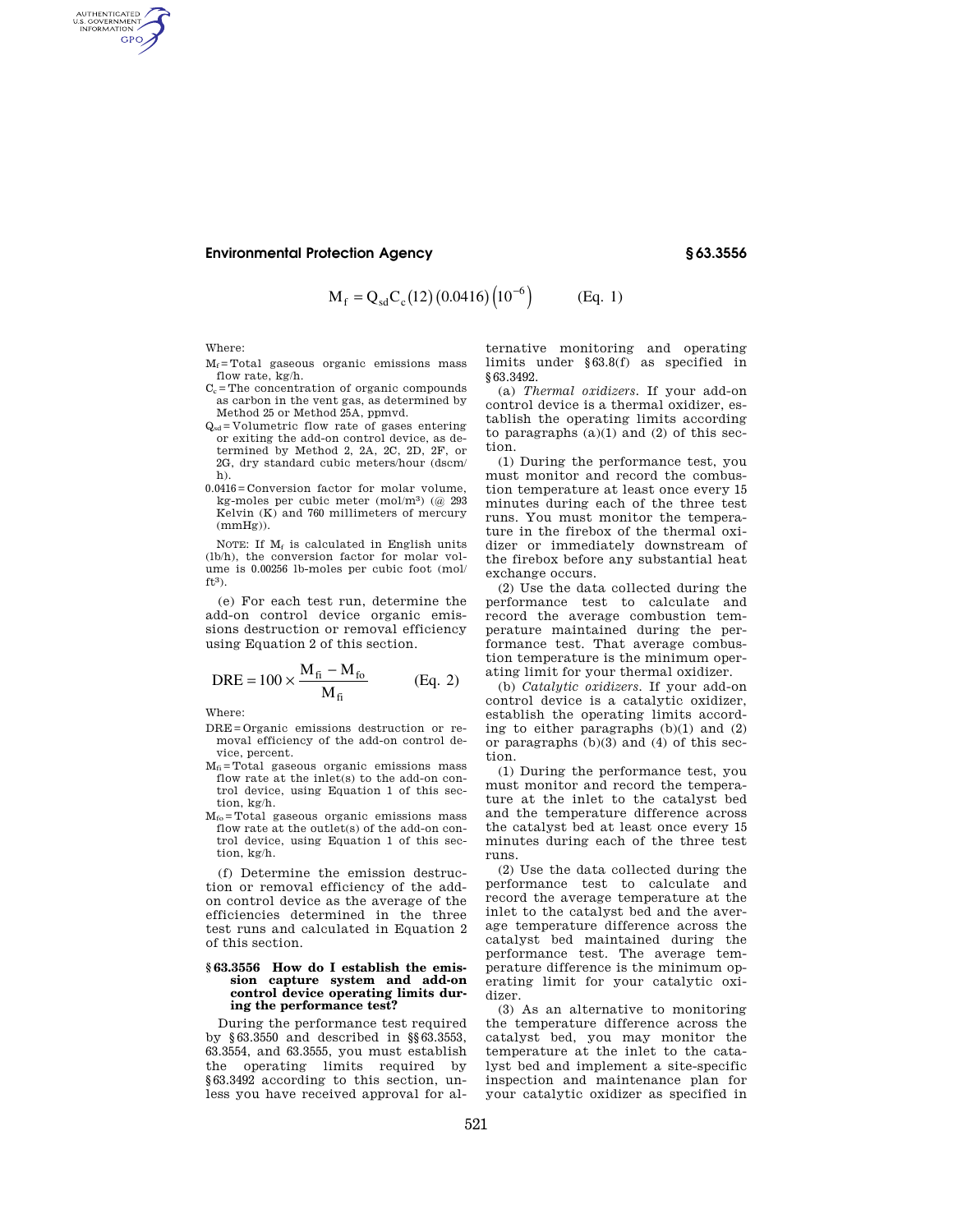## **Environmental Protection Agency § 63.3556**

$$
M_f = Q_{sd} C_c (12) (0.0416) (10^{-6}) \qquad (Eq. 1)
$$

Where:

AUTHENTICATED<br>U.S. GOVERNMENT<br>INFORMATION GPO

- $\mathbf{M}_\text{f}\!=\!\text{Total}$  gaseous organic emissions mass flow rate, kg/h.
- $C_c$ =The concentration of organic compounds as carbon in the vent gas, as determined by Method 25 or Method 25A, ppmvd.
- $Q_{sd}$ =Volumetric flow rate of gases entering or exiting the add-on control device, as determined by Method 2, 2A, 2C, 2D, 2F, or 2G, dry standard cubic meters/hour (dscm/ h).
- 0.0416=Conversion factor for molar volume, kg-moles per cubic meter (mol/m3) (@ 293 Kelvin (K) and 760 millimeters of mercury  $(mmHg)$ ).

NOTE: If  $M_f$  is calculated in English units (lb/h), the conversion factor for molar volume is 0.00256 lb-moles per cubic foot (mol/  $ft3$ ).

(e) For each test run, determine the add-on control device organic emissions destruction or removal efficiency using Equation 2 of this section.

$$
DRE = 100 \times \frac{M_{fi} - M_{fo}}{M_{fi}} \qquad (Eq. 2)
$$

Where:

- DRE=Organic emissions destruction or removal efficiency of the add-on control device, percent.
- $M_{fi}$ =Total gaseous organic emissions mass flow rate at the inlet(s) to the add-on control device, using Equation 1 of this section, kg/h.
- Mfo=Total gaseous organic emissions mass flow rate at the outlet(s) of the add-on control device, using Equation 1 of this section, kg/h.

(f) Determine the emission destruction or removal efficiency of the addon control device as the average of the efficiencies determined in the three test runs and calculated in Equation 2 of this section.

## **§ 63.3556 How do I establish the emission capture system and add-on control device operating limits during the performance test?**

During the performance test required by §63.3550 and described in §§63.3553, 63.3554, and 63.3555, you must establish the operating limits required by §63.3492 according to this section, unless you have received approval for al-

ternative monitoring and operating limits under §63.8(f) as specified in §63.3492.

(a) *Thermal oxidizers.* If your add-on control device is a thermal oxidizer, establish the operating limits according to paragraphs  $(a)(1)$  and  $(2)$  of this section.

(1) During the performance test, you must monitor and record the combustion temperature at least once every 15 minutes during each of the three test runs. You must monitor the temperature in the firebox of the thermal oxidizer or immediately downstream of the firebox before any substantial heat exchange occurs.

(2) Use the data collected during the performance test to calculate and record the average combustion temperature maintained during the performance test. That average combustion temperature is the minimum operating limit for your thermal oxidizer.

(b) *Catalytic oxidizers.* If your add-on control device is a catalytic oxidizer, establish the operating limits according to either paragraphs (b)(1) and (2) or paragraphs (b)(3) and (4) of this section.

(1) During the performance test, you must monitor and record the temperature at the inlet to the catalyst bed and the temperature difference across the catalyst bed at least once every 15 minutes during each of the three test runs.

(2) Use the data collected during the performance test to calculate and record the average temperature at the inlet to the catalyst bed and the average temperature difference across the catalyst bed maintained during the performance test. The average temperature difference is the minimum operating limit for your catalytic oxidizer.

(3) As an alternative to monitoring the temperature difference across the catalyst bed, you may monitor the temperature at the inlet to the catalyst bed and implement a site-specific inspection and maintenance plan for your catalytic oxidizer as specified in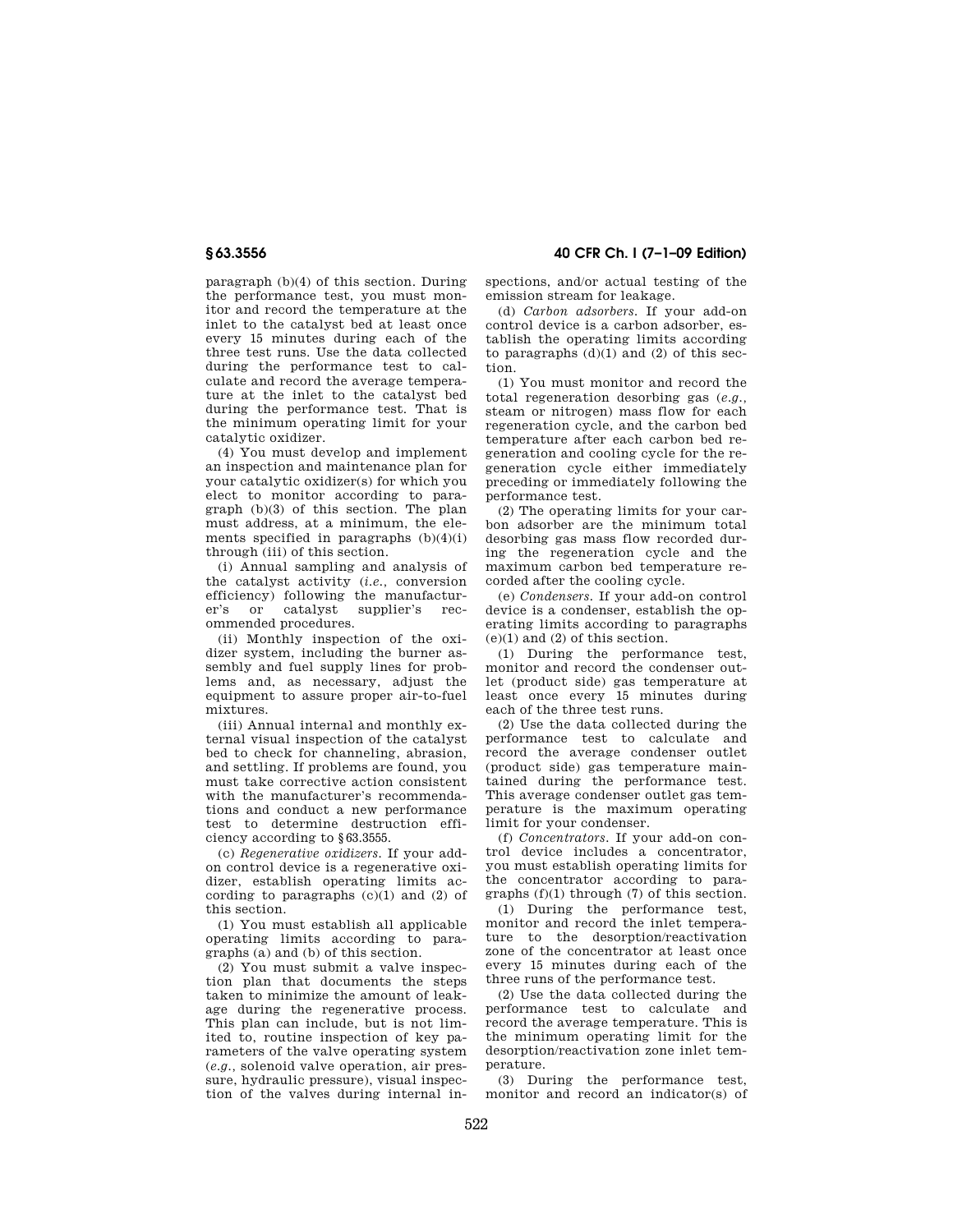paragraph (b)(4) of this section. During the performance test, you must monitor and record the temperature at the inlet to the catalyst bed at least once every 15 minutes during each of the three test runs. Use the data collected during the performance test to calculate and record the average temperature at the inlet to the catalyst bed during the performance test. That is the minimum operating limit for your catalytic oxidizer.

(4) You must develop and implement an inspection and maintenance plan for your catalytic oxidizer(s) for which you elect to monitor according to paragraph (b)(3) of this section. The plan must address, at a minimum, the elements specified in paragraphs (b)(4)(i) through (iii) of this section.

(i) Annual sampling and analysis of the catalyst activity (*i.e.,* conversion efficiency) following the manufacturer's or catalyst supplier's recommended procedures.

(ii) Monthly inspection of the oxidizer system, including the burner assembly and fuel supply lines for problems and, as necessary, adjust the equipment to assure proper air-to-fuel mixtures.

(iii) Annual internal and monthly external visual inspection of the catalyst bed to check for channeling, abrasion, and settling. If problems are found, you must take corrective action consistent with the manufacturer's recommendations and conduct a new performance test to determine destruction efficiency according to §63.3555.

(c) *Regenerative oxidizers.* If your addon control device is a regenerative oxidizer, establish operating limits according to paragraphs  $(c)(1)$  and  $(2)$  of this section.

(1) You must establish all applicable operating limits according to paragraphs (a) and (b) of this section.

(2) You must submit a valve inspection plan that documents the steps taken to minimize the amount of leakage during the regenerative process. This plan can include, but is not limited to, routine inspection of key parameters of the valve operating system (*e.g.,* solenoid valve operation, air pressure, hydraulic pressure), visual inspection of the valves during internal in-

**§ 63.3556 40 CFR Ch. I (7–1–09 Edition)** 

spections, and/or actual testing of the emission stream for leakage.

(d) *Carbon adsorbers.* If your add-on control device is a carbon adsorber, establish the operating limits according to paragraphs  $(d)(1)$  and  $(2)$  of this section.

(1) You must monitor and record the total regeneration desorbing gas (*e.g.,*  steam or nitrogen) mass flow for each regeneration cycle, and the carbon bed temperature after each carbon bed regeneration and cooling cycle for the regeneration cycle either immediately preceding or immediately following the performance test.

(2) The operating limits for your carbon adsorber are the minimum total desorbing gas mass flow recorded during the regeneration cycle and the maximum carbon bed temperature recorded after the cooling cycle.

(e) *Condensers.* If your add-on control device is a condenser, establish the operating limits according to paragraphs  $(e)(1)$  and  $(2)$  of this section.

(1) During the performance test, monitor and record the condenser outlet (product side) gas temperature at least once every 15 minutes during each of the three test runs.

(2) Use the data collected during the performance test to calculate and record the average condenser outlet (product side) gas temperature maintained during the performance test. This average condenser outlet gas temperature is the maximum operating limit for your condenser.

(f) *Concentrators.* If your add-on control device includes a concentrator, you must establish operating limits for the concentrator according to paragraphs (f)(1) through (7) of this section.

(1) During the performance test, monitor and record the inlet temperature to the desorption/reactivation zone of the concentrator at least once every 15 minutes during each of the three runs of the performance test.

(2) Use the data collected during the performance test to calculate and record the average temperature. This is the minimum operating limit for the desorption/reactivation zone inlet temperature.

(3) During the performance test, monitor and record an indicator(s) of